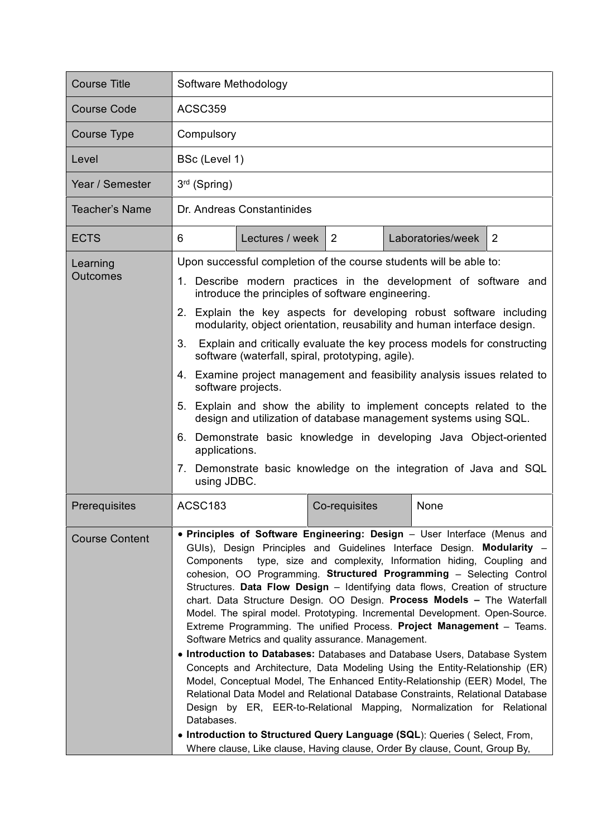| <b>Course Title</b>         | Software Methodology                                                                                                                                                                                                                                                                                                                                                                                                                                                                                                                                                                                                                                                                                                                                                                                                                                                                                                                                                                                                                                                                                                                                                                                                                                           |
|-----------------------------|----------------------------------------------------------------------------------------------------------------------------------------------------------------------------------------------------------------------------------------------------------------------------------------------------------------------------------------------------------------------------------------------------------------------------------------------------------------------------------------------------------------------------------------------------------------------------------------------------------------------------------------------------------------------------------------------------------------------------------------------------------------------------------------------------------------------------------------------------------------------------------------------------------------------------------------------------------------------------------------------------------------------------------------------------------------------------------------------------------------------------------------------------------------------------------------------------------------------------------------------------------------|
| <b>Course Code</b>          | ACSC359                                                                                                                                                                                                                                                                                                                                                                                                                                                                                                                                                                                                                                                                                                                                                                                                                                                                                                                                                                                                                                                                                                                                                                                                                                                        |
| Course Type                 | Compulsory                                                                                                                                                                                                                                                                                                                                                                                                                                                                                                                                                                                                                                                                                                                                                                                                                                                                                                                                                                                                                                                                                                                                                                                                                                                     |
| Level                       | BSc (Level 1)                                                                                                                                                                                                                                                                                                                                                                                                                                                                                                                                                                                                                                                                                                                                                                                                                                                                                                                                                                                                                                                                                                                                                                                                                                                  |
| Year / Semester             | $3rd$ (Spring)                                                                                                                                                                                                                                                                                                                                                                                                                                                                                                                                                                                                                                                                                                                                                                                                                                                                                                                                                                                                                                                                                                                                                                                                                                                 |
| <b>Teacher's Name</b>       | Dr. Andreas Constantinides                                                                                                                                                                                                                                                                                                                                                                                                                                                                                                                                                                                                                                                                                                                                                                                                                                                                                                                                                                                                                                                                                                                                                                                                                                     |
| <b>ECTS</b>                 | 6<br>Lectures / week<br>2<br>Laboratories/week<br>2                                                                                                                                                                                                                                                                                                                                                                                                                                                                                                                                                                                                                                                                                                                                                                                                                                                                                                                                                                                                                                                                                                                                                                                                            |
| Learning<br><b>Outcomes</b> | Upon successful completion of the course students will be able to:<br>1. Describe modern practices in the development of software and<br>introduce the principles of software engineering.<br>2. Explain the key aspects for developing robust software including<br>modularity, object orientation, reusability and human interface design.<br>Explain and critically evaluate the key process models for constructing<br>3.<br>software (waterfall, spiral, prototyping, agile).<br>4. Examine project management and feasibility analysis issues related to<br>software projects.<br>5. Explain and show the ability to implement concepts related to the<br>design and utilization of database management systems using SQL.<br>6. Demonstrate basic knowledge in developing Java Object-oriented<br>applications.<br>7. Demonstrate basic knowledge on the integration of Java and SQL<br>using JDBC.                                                                                                                                                                                                                                                                                                                                                     |
| Prerequisites               | ACSC183<br>Co-requisites<br>None                                                                                                                                                                                                                                                                                                                                                                                                                                                                                                                                                                                                                                                                                                                                                                                                                                                                                                                                                                                                                                                                                                                                                                                                                               |
| <b>Course Content</b>       | • Principles of Software Engineering: Design - User Interface (Menus and<br>GUIs), Design Principles and Guidelines Interface Design. Modularity -<br>Components type, size and complexity, Information hiding, Coupling and<br>cohesion, OO Programming. Structured Programming - Selecting Control<br>Structures. Data Flow Design - Identifying data flows, Creation of structure<br>chart. Data Structure Design. OO Design. Process Models - The Waterfall<br>Model. The spiral model. Prototyping. Incremental Development. Open-Source.<br>Extreme Programming. The unified Process. Project Management - Teams.<br>Software Metrics and quality assurance. Management.<br>• Introduction to Databases: Databases and Database Users, Database System<br>Concepts and Architecture, Data Modeling Using the Entity-Relationship (ER)<br>Model, Conceptual Model, The Enhanced Entity-Relationship (EER) Model, The<br>Relational Data Model and Relational Database Constraints, Relational Database<br>Design by ER, EER-to-Relational Mapping, Normalization for Relational<br>Databases.<br>• Introduction to Structured Query Language (SQL): Queries (Select, From,<br>Where clause, Like clause, Having clause, Order By clause, Count, Group By, |